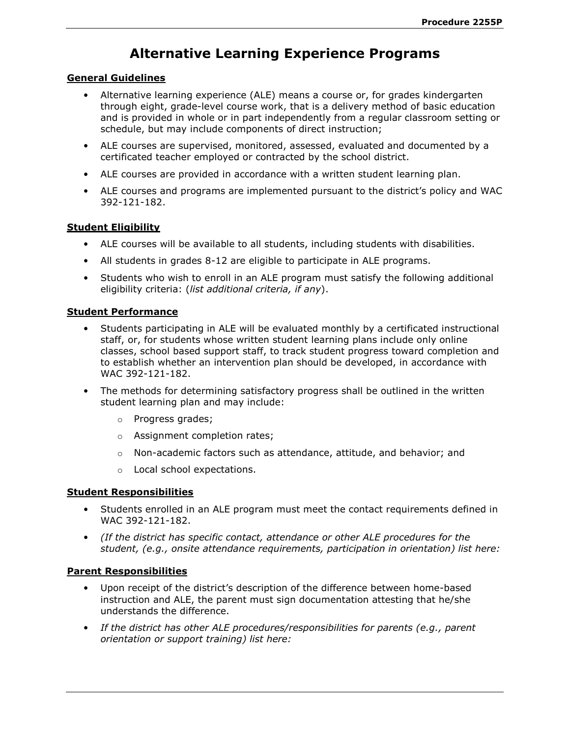# Alternative Learning Experience Programs

### General Guidelines

- Alternative learning experience (ALE) means a course or, for grades kindergarten through eight, grade-level course work, that is a delivery method of basic education and is provided in whole or in part independently from a regular classroom setting or schedule, but may include components of direct instruction;
- ALE courses are supervised, monitored, assessed, evaluated and documented by a certificated teacher employed or contracted by the school district.
- ALE courses are provided in accordance with a written student learning plan.
- ALE courses and programs are implemented pursuant to the district's policy and WAC 392-121-182.

# Student Eligibility

- ALE courses will be available to all students, including students with disabilities.
- All students in grades 8-12 are eligible to participate in ALE programs.
- Students who wish to enroll in an ALE program must satisfy the following additional eligibility criteria: (list additional criteria, if any).

#### Student Performance

- Students participating in ALE will be evaluated monthly by a certificated instructional staff, or, for students whose written student learning plans include only online classes, school based support staff, to track student progress toward completion and to establish whether an intervention plan should be developed, in accordance with WAC 392-121-182.
- The methods for determining satisfactory progress shall be outlined in the written student learning plan and may include:
	- o Progress grades;
	- o Assignment completion rates;
	- $\circ$  Non-academic factors such as attendance, attitude, and behavior; and
	- o Local school expectations.

#### Student Responsibilities

- Students enrolled in an ALE program must meet the contact requirements defined in WAC 392-121-182.
- (If the district has specific contact, attendance or other ALE procedures for the student, (e.g., onsite attendance requirements, participation in orientation) list here:

# Parent Responsibilities

- Upon receipt of the district's description of the difference between home-based instruction and ALE, the parent must sign documentation attesting that he/she understands the difference.
- If the district has other ALE procedures/responsibilities for parents (e.g., parent orientation or support training) list here: